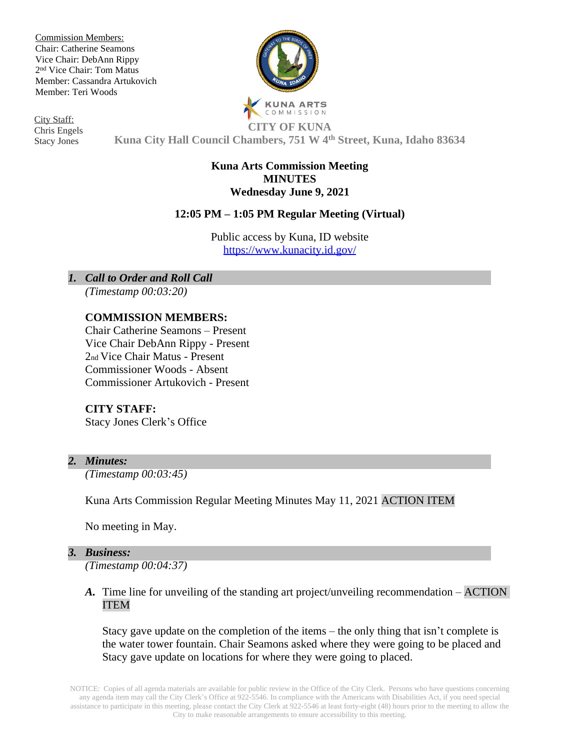Commission Members: Chair: Catherine Seamons Vice Chair: DebAnn Rippy 2 nd Vice Chair: Tom Matus Member: Cassandra Artukovich Member: Teri Woods

City Staff: Chris Engels Stacy Jones

**KUNA ARTS** COMMISSION **CITY OF KUNA**

**Kuna City Hall Council Chambers, 751 W 4th Street, Kuna, Idaho 83634**

#### **Kuna Arts Commission Meeting MINUTES Wednesday June 9, 2021**

# **12:05 PM – 1:05 PM Regular Meeting (Virtual)**

Public access by Kuna, ID website <https://www.kunacity.id.gov/>

*1. Call to Order and Roll Call*

*(Timestamp 00:03:20)*

## **COMMISSION MEMBERS:**

Chair Catherine Seamons – Present Vice Chair DebAnn Rippy - Present 2nd Vice Chair Matus - Present Commissioner Woods - Absent Commissioner Artukovich - Present

## **CITY STAFF:**

Stacy Jones Clerk's Office

## *2. Minutes:*

*(Timestamp 00:03:45)*

Kuna Arts Commission Regular Meeting Minutes May 11, 2021 ACTION ITEM

No meeting in May.

#### *3. Business:*

*(Timestamp 00:04:37)*

*A.* Time line for unveiling of the standing art project/unveiling recommendation – ACTION ITEM

Stacy gave update on the completion of the items – the only thing that isn't complete is the water tower fountain. Chair Seamons asked where they were going to be placed and Stacy gave update on locations for where they were going to placed.

NOTICE: Copies of all agenda materials are available for public review in the Office of the City Clerk. Persons who have questions concerning any agenda item may call the City Clerk's Office at 922-5546. In compliance with the Americans with Disabilities Act, if you need special assistance to participate in this meeting, please contact the City Clerk at 922-5546 at least forty-eight (48) hours prior to the meeting to allow the City to make reasonable arrangements to ensure accessibility to this meeting.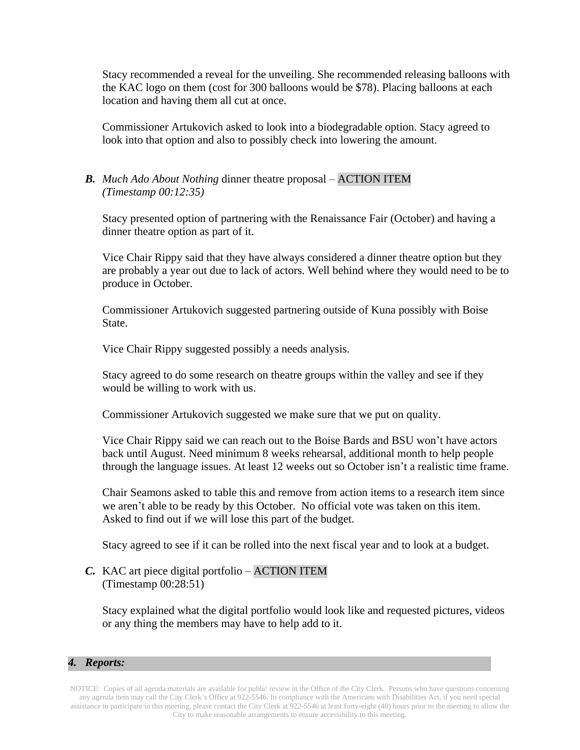Stacy recommended a reveal for the unveiling. She recommended releasing balloons with the KAC logo on them (cost for 300 balloons would be \$78). Placing balloons at each location and having them all cut at once.

Commissioner Artukovich asked to look into a biodegradable option. Stacy agreed to look into that option and also to possibly check into lowering the amount.

## *B. Much Ado About Nothing* dinner theatre proposal – ACTION ITEM *(Timestamp 00:12:35)*

Stacy presented option of partnering with the Renaissance Fair (October) and having a dinner theatre option as part of it.

Vice Chair Rippy said that they have always considered a dinner theatre option but they are probably a year out due to lack of actors. Well behind where they would need to be to produce in October.

Commissioner Artukovich suggested partnering outside of Kuna possibly with Boise State.

Vice Chair Rippy suggested possibly a needs analysis.

Stacy agreed to do some research on theatre groups within the valley and see if they would be willing to work with us.

Commissioner Artukovich suggested we make sure that we put on quality.

Vice Chair Rippy said we can reach out to the Boise Bards and BSU won't have actors back until August. Need minimum 8 weeks rehearsal, additional month to help people through the language issues. At least 12 weeks out so October isn't a realistic time frame.

Chair Seamons asked to table this and remove from action items to a research item since we aren't able to be ready by this October. No official vote was taken on this item. Asked to find out if we will lose this part of the budget.

Stacy agreed to see if it can be rolled into the next fiscal year and to look at a budget.

## *C.* KAC art piece digital portfolio – ACTION ITEM (Timestamp 00:28:51)

Stacy explained what the digital portfolio would look like and requested pictures, videos or any thing the members may have to help add to it.

## *4. Reports:*

NOTICE: Copies of all agenda materials are available for public review in the Office of the City Clerk. Persons who have questions concerning any agenda item may call the City Clerk's Office at 922-5546. In compliance with the Americans with Disabilities Act, if you need special assistance to participate in this meeting, please contact the City Clerk at 922-5546 at least forty-eight (48) hours prior to the meeting to allow the City to make reasonable arrangements to ensure accessibility to this meeting.